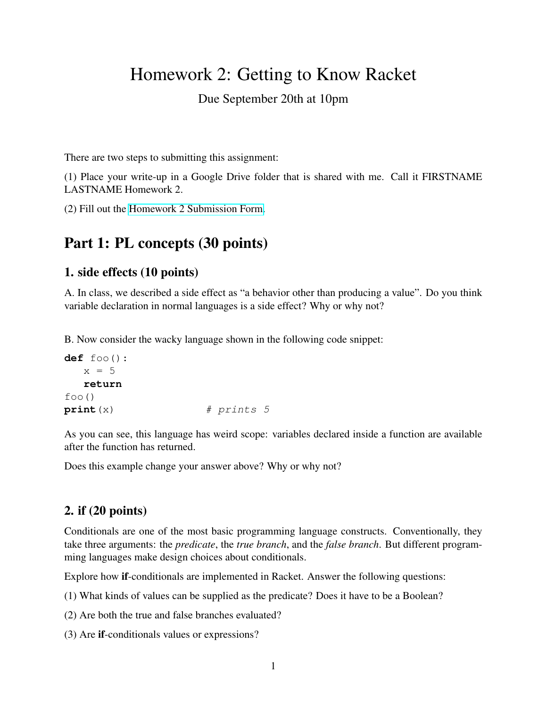# Homework 2: Getting to Know Racket

#### Due September 20th at 10pm

There are two steps to submitting this assignment:

(1) Place your write-up in a Google Drive folder that is shared with me. Call it FIRSTNAME LASTNAME Homework 2.

(2) Fill out the [Homework 2 Submission Form.](https://forms.gle/5zA4KCPjwtj7H1BKA)

## Part 1: PL concepts (30 points)

#### 1. side effects (10 points)

A. In class, we described a side effect as "a behavior other than producing a value". Do you think variable declaration in normal languages is a side effect? Why or why not?

B. Now consider the wacky language shown in the following code snippet:

```
def foo():
  x = 5return
foo()
print (x) # prints 5
```
As you can see, this language has weird scope: variables declared inside a function are available after the function has returned.

Does this example change your answer above? Why or why not?

#### 2. if (20 points)

Conditionals are one of the most basic programming language constructs. Conventionally, they take three arguments: the *predicate*, the *true branch*, and the *false branch*. But different programming languages make design choices about conditionals.

Explore how if-conditionals are implemented in Racket. Answer the following questions:

(1) What kinds of values can be supplied as the predicate? Does it have to be a Boolean?

(2) Are both the true and false branches evaluated?

(3) Are if-conditionals values or expressions?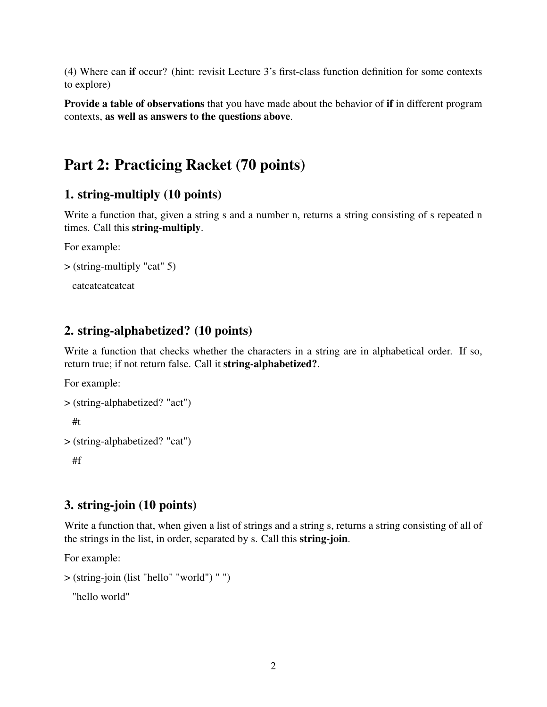(4) Where can if occur? (hint: revisit Lecture 3's first-class function definition for some contexts to explore)

Provide a table of observations that you have made about the behavior of if in different program contexts, as well as answers to the questions above.

## Part 2: Practicing Racket (70 points)

#### 1. string-multiply (10 points)

Write a function that, given a string s and a number n, returns a string consisting of s repeated n times. Call this string-multiply.

For example:

```
> (string-multiply "cat" 5)
```
catcatcatcatcat

#### 2. string-alphabetized? (10 points)

Write a function that checks whether the characters in a string are in alphabetical order. If so, return true; if not return false. Call it **string-alphabetized**?.

For example:

```
> (string-alphabetized? "act")
 #t
> (string-alphabetized? "cat")
```
#f

#### 3. string-join (10 points)

Write a function that, when given a list of strings and a string s, returns a string consisting of all of the strings in the list, in order, separated by s. Call this string-join.

For example:

```
> (string-join (list "hello" "world") " ")
```
"hello world"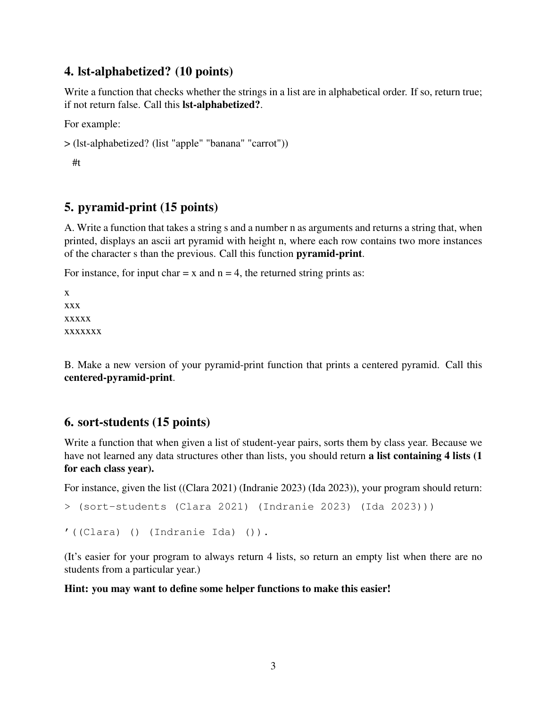#### 4. lst-alphabetized? (10 points)

Write a function that checks whether the strings in a list are in alphabetical order. If so, return true; if not return false. Call this lst-alphabetized?.

For example:

```
> (lst-alphabetized? (list "apple" "banana" "carrot"))
```
#t

### 5. pyramid-print (15 points)

A. Write a function that takes a string s and a number n as arguments and returns a string that, when printed, displays an ascii art pyramid with height n, where each row contains two more instances of the character s than the previous. Call this function pyramid-print.

For instance, for input char  $= x$  and  $n = 4$ , the returned string prints as:

x xxx xxxxx xxxxxxx

B. Make a new version of your pyramid-print function that prints a centered pyramid. Call this centered-pyramid-print.

#### 6. sort-students (15 points)

Write a function that when given a list of student-year pairs, sorts them by class year. Because we have not learned any data structures other than lists, you should return a list containing 4 lists (1) for each class year).

For instance, given the list ((Clara 2021) (Indranie 2023) (Ida 2023)), your program should return:

```
> (sort-students (Clara 2021) (Indranie 2023) (Ida 2023)))
```

```
'((Clara) () (Indranie Ida) ()).
```
(It's easier for your program to always return 4 lists, so return an empty list when there are no students from a particular year.)

#### Hint: you may want to define some helper functions to make this easier!